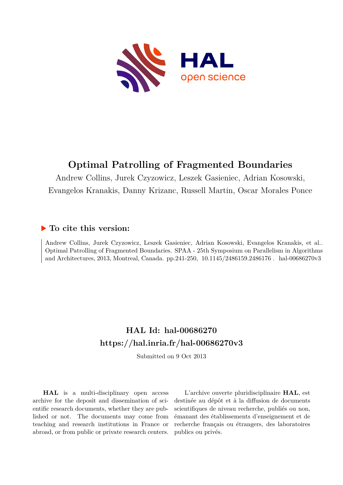

# **Optimal Patrolling of Fragmented Boundaries**

Andrew Collins, Jurek Czyzowicz, Leszek Gasieniec, Adrian Kosowski, Evangelos Kranakis, Danny Krizanc, Russell Martin, Oscar Morales Ponce

# **To cite this version:**

Andrew Collins, Jurek Czyzowicz, Leszek Gasieniec, Adrian Kosowski, Evangelos Kranakis, et al.. Optimal Patrolling of Fragmented Boundaries. SPAA - 25th Symposium on Parallelism in Algorithms and Architectures, 2013, Montreal, Canada. pp.241-250,  $10.1145/2486159.2486176$ . hal-00686270v3

# **HAL Id: hal-00686270 <https://hal.inria.fr/hal-00686270v3>**

Submitted on 9 Oct 2013

**HAL** is a multi-disciplinary open access archive for the deposit and dissemination of scientific research documents, whether they are published or not. The documents may come from teaching and research institutions in France or abroad, or from public or private research centers.

L'archive ouverte pluridisciplinaire **HAL**, est destinée au dépôt et à la diffusion de documents scientifiques de niveau recherche, publiés ou non, émanant des établissements d'enseignement et de recherche français ou étrangers, des laboratoires publics ou privés.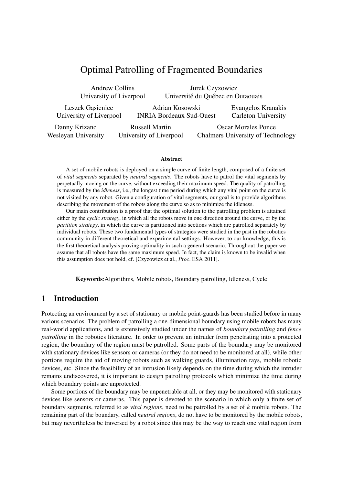# Optimal Patrolling of Fragmented Boundaries

| <b>Andrew Collins</b>                       |  | Jurek Czyzowicz                                    |  |                                                  |  |
|---------------------------------------------|--|----------------------------------------------------|--|--------------------------------------------------|--|
| University of Liverpool                     |  | Université du Québec en Outaouais                  |  |                                                  |  |
| Leszek Gasieniec<br>University of Liverpool |  | Adrian Kosowski<br><b>INRIA Bordeaux Sud-Ouest</b> |  | Evangelos Kranakis<br><b>Carleton University</b> |  |
| Danny Krizanc                               |  | <b>Russell Martin</b>                              |  | <b>Oscar Morales Ponce</b>                       |  |
| Wesleyan University                         |  | University of Liverpool                            |  | Chalmers University of Technology                |  |

#### Abstract

A set of mobile robots is deployed on a simple curve of finite length, composed of a finite set of *vital segments* separated by *neutral segments*. The robots have to patrol the vital segments by perpetually moving on the curve, without exceeding their maximum speed. The quality of patrolling is measured by the *idleness*, i.e., the longest time period during which any vital point on the curve is not visited by any robot. Given a configuration of vital segments, our goal is to provide algorithms describing the movement of the robots along the curve so as to minimize the idleness.

Our main contribution is a proof that the optimal solution to the patrolling problem is attained either by the *cyclic strategy*, in which all the robots move in one direction around the curve, or by the *partition strategy*, in which the curve is partitioned into sections which are patrolled separately by individual robots. These two fundamental types of strategies were studied in the past in the robotics community in different theoretical and experimental settings. However, to our knowledge, this is the first theoretical analysis proving optimality in such a general scenario. Throughout the paper we assume that all robots have the same maximum speed. In fact, the claim is known to be invalid when this assumption does not hold, cf. [Czyzowicz et al., *Proc*. ESA 2011].

Keywords:Algorithms, Mobile robots, Boundary patrolling, Idleness, Cycle

### 1 Introduction

Protecting an environment by a set of stationary or mobile point-guards has been studied before in many various scenarios. The problem of patrolling a one-dimensional boundary using mobile robots has many real-world applications, and is extensively studied under the names of *boundary patrolling* and *fence patrolling* in the robotics literature. In order to prevent an intruder from penetrating into a protected region, the boundary of the region must be patrolled. Some parts of the boundary may be monitored with stationary devices like sensors or cameras (or they do not need to be monitored at all), while other portions require the aid of moving robots such as walking guards, illumination rays, mobile robotic devices, etc. Since the feasibility of an intrusion likely depends on the time during which the intruder remains undiscovered, it is important to design patrolling protocols which minimize the time during which boundary points are unprotected.

Some portions of the boundary may be unpenetrable at all, or they may be monitored with stationary devices like sensors or cameras. This paper is devoted to the scenario in which only a finite set of boundary segments, referred to as *vital regions*, need to be patrolled by a set of k mobile robots. The remaining part of the boundary, called *neutral regions*, do not have to be monitored by the mobile robots, but may nevertheless be traversed by a robot since this may be the way to reach one vital region from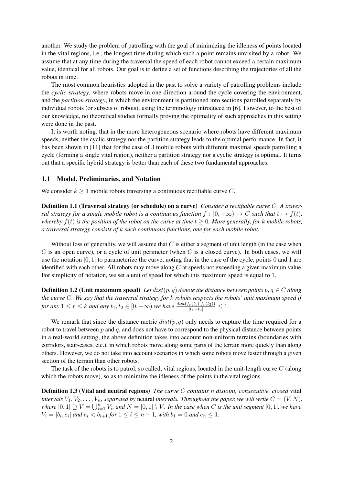another. We study the problem of patrolling with the goal of minimizing the idleness of points located in the vital regions, i.e., the longest time during which such a point remains unvisited by a robot. We assume that at any time during the traversal the speed of each robot cannot exceed a certain maximum value, identical for all robots. Our goal is to define a set of functions describing the trajectories of all the robots in time.

The most common heuristics adopted in the past to solve a variety of patrolling problems include the *cyclic strategy*, where robots move in one direction around the cycle covering the environment, and the *partition strategy*, in which the environment is partitioned into sections patrolled separately by individual robots (or subsets of robots), using the terminology introduced in [6]. However, to the best of our knowledge, no theoretical studies formally proving the optimality of such approaches in this setting were done in the past.

It is worth noting, that in the more heterogeneous scenario where robots have different maximum speeds, neither the cyclic strategy nor the partition strategy leads to the optimal performance. In fact, it has been shown in [11] that for the case of 3 mobile robots with different maximal speeds patrolling a cycle (forming a single vital region), neither a partition strategy nor a cyclic strategy is optimal. It turns out that a specific hybrid strategy is better than each of these two fundamental approaches.

#### 1.1 Model, Preliminaries, and Notation

We consider  $k \geq 1$  mobile robots traversing a continuous rectifiable curve C.

Definition 1.1 (Traversal strategy (or schedule) on a curve) *Consider a rectifiable curve* C*. A traversal strategy for a single mobile robot is a continuous function*  $f : [0, +\infty) \to C$  *such that*  $t \mapsto f(t)$ *, whereby*  $f(t)$  *is the position of the robot on the curve at time*  $t \geq 0$ *. More generally, for* k *mobile robots, a traversal strategy consists of* k *such continuous functions, one for each mobile robot.*

Without loss of generality, we will assume that  $C$  is either a segment of unit length (in the case when  $C$  is an open curve), or a cycle of unit perimeter (when  $C$  is a closed curve). In both cases, we will use the notation  $[0, 1]$  to parameterize the curve, noting that in the case of the cycle, points 0 and 1 are identified with each other. All robots may move along  $C$  at speeds not exceeding a given maximum value. For simplicity of notation, we set a unit of speed for which this maximum speed is equal to 1.

**Definition 1.2 (Unit maximum speed)** Let  $dist(p, q)$  denote the distance between points  $p, q \in C$  along *the curve* C*. We say that the traversal strategy for* k *robots respects the robots' unit maximum speed if for any*  $1 \le r \le k$  *and any*  $t_1, t_2 \in [0, +\infty)$  *we have*  $\frac{dist(f_r(t_1), f_r(t_2))}{|t_1 - t_2|} \le 1$ *.* 

We remark that since the distance metric  $dist(p, q)$  only needs to capture the time required for a robot to travel between  $p$  and  $q$ , and does not have to correspond to the physical distance between points in a real-world setting, the above definition takes into account non-uniform terrains (boundaries with corridors, stair-cases, etc.), in which robots move along some parts of the terrain more quickly than along others. However, we do not take into account scenarios in which some robots move faster through a given section of the terrain than other robots.

The task of the robots is to patrol, so called, vital regions, located in the unit-length curve  $C$  (along which the robots move), so as to minimize the idleness of the points in the vital regions.

Definition 1.3 (Vital and neutral regions) *The curve* C *contains* n *disjoint, consecutive, closed* vital *intervals*  $V_1, V_2, \ldots, V_n$ *, separated by neutral intervals. Throughout the paper, we will write*  $C = (V, N)$ *,*  $where \ [0,1] \supseteq V = \bigcup_{i=1}^{n} V_i$ , and  $N = [0,1] \setminus V$ . In the case when C is the unit segment  $[0,1]$ *, we have*  $V_i = [b_i, e_i]$  and  $e_i < b_{i+1}$  for  $1 \le i \le n-1$ , with  $b_1 = 0$  and  $e_n \le 1$ .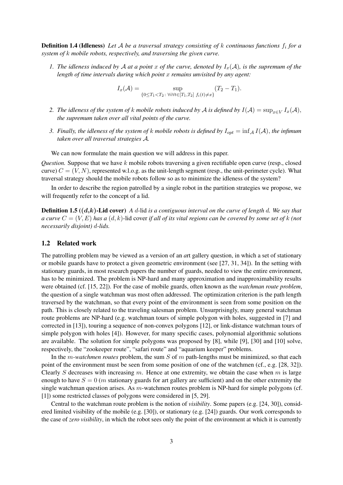Definition 1.4 (Idleness) *Let* A *be a traversal strategy consisting of* k *continuous functions* f<sup>i</sup> *for a system of* k *mobile robots, respectively, and traversing the given curve.*

*1.* The idleness induced by A at a point x of the curve, denoted by  $I_x(\mathcal{A})$ , is the supremum of the *length of time intervals during which point* x *remains unvisited by any agent:* 

$$
I_x(\mathcal{A}) = \sup_{\{0 \le T_1 < T_2 : \forall i \forall t \in [T_1, T_2] \}} (T_2 - T_1).
$$

- 2. *The idleness of the system of*  $k$  *mobile robots induced by*  $\mathcal A$  *is defined by*  $I(\mathcal A)=\sup_{x\in V}I_x(\mathcal A),$ *the supremum taken over all vital points of the curve.*
- *3.* Finally, the idleness of the system of k mobile robots is defined by  $I_{opt} = \inf_{A} I(A)$ , the infimum *taken over all traversal strategies* A*.*

We can now formulate the main question we will address in this paper.

*Question.* Suppose that we have k mobile robots traversing a given rectifiable open curve (resp., closed curve)  $C = (V, N)$ , represented w.l.o.g. as the unit-length segment (resp., the unit-perimeter cycle). What traversal strategy should the mobile robots follow so as to minimize the idleness of the system?

In order to describe the region patrolled by a single robot in the partition strategies we propose, we will frequently refer to the concept of a lid.

Definition 1.5 ((d,k)-Lid cover) *A* d-lid *is a contiguous interval on the curve of length* d*. We say that a curve*  $C = (V, E)$  *has a*  $(d, k)$ -lid cover *if all of its vital regions can be covered by some set of k (not necessarily disjoint)* d*-lids.*

#### 1.2 Related work

The patrolling problem may be viewed as a version of an *a*rt gallery question, in which a set of stationary or mobile guards have to protect a given geometric environment (see [27, 31, 34]). In the setting with stationary guards, in most research papers the number of guards, needed to view the entire environment, has to be minimized. The problem is NP-hard and many approximation and inapproximability results were obtained (cf. [15, 22]). For the case of mobile guards, often known as the *watchman route problem*, the question of a single watchman was most often addressed. The optimization criterion is the path length traversed by the watchman, so that every point of the environment is seen from some position on the path. This is closely related to the traveling salesman problem. Unsurprisingly, many general watchman route problems are NP-hard (e.g. watchman tours of simple polygon with holes, suggested in [7] and corrected in [13]), touring a sequence of non-convex polygons [12], or link-distance watchman tours of simple polygon with holes [4]). However, for many specific cases, polynomial algorithmic solutions are available. The solution for simple polygons was proposed by [8], while [9], [30] and [10] solve, respectively, the "zookeeper route", "safari route" and "aquarium keeper" problems.

In the m*-watchmen routes* problem, the sum S of m path-lengths must be minimized, so that each point of the environment must be seen from some position of one of the watchmen (cf., e.g. [28, 32]). Clearly S decreases with increasing m. Hence at one extremity, we obtain the case when  $m$  is large enough to have  $S = 0$  (*m* stationary guards for art gallery are sufficient) and on the other extremity the single watchman question arises. As  $m$ -watchmen routes problem is NP-hard for simple polygons (cf. [1]) some restricted classes of polygons were considered in [5, 29].

Central to the watchman route problem is the notion of *visibility*. Some papers (e.g. [24, 30]), considered limited visibility of the mobile (e.g. [30]), or stationary (e.g. [24]) guards. Our work corresponds to the case of *zero visibility*, in which the robot sees only the point of the environment at which it is currently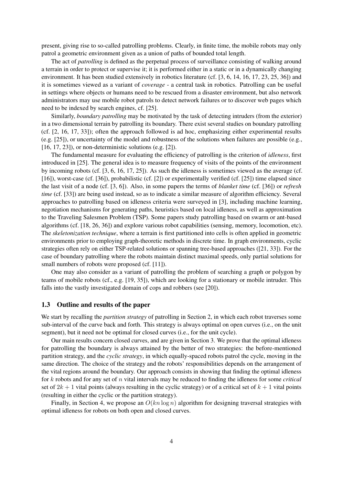present, giving rise to so-called patrolling problems. Clearly, in finite time, the mobile robots may only patrol a geometric environment given as a union of paths of bounded total length.

The act of *patrolling* is defined as the perpetual process of surveillance consisting of walking around a terrain in order to protect or supervise it; it is performed either in a static or in a dynamically changing environment. It has been studied extensively in robotics literature (cf. [3, 6, 14, 16, 17, 23, 25, 36]) and it is sometimes viewed as a variant of *coverage* - a central task in robotics. Patrolling can be useful in settings where objects or humans need to be rescued from a disaster environment, but also network administrators may use mobile robot patrols to detect network failures or to discover web pages which need to be indexed by search engines, cf. [25].

Similarly, *boundary patrolling* may be motivated by the task of detecting intruders (from the exterior) in a two dimensional terrain by patrolling its boundary. There exist several studies on boundary patrolling (cf. [2, 16, 17, 33]); often the approach followed is ad hoc, emphasizing either experimental results (e.g. [25]), or uncertainty of the model and robustness of the solutions when failures are possible (e.g., [16, 17, 23]), or non-deterministic solutions (e.g. [2]).

The fundamental measure for evaluating the efficiency of patrolling is the criterion of *idleness*, first introduced in [25]. The general idea is to measure frequency of visits of the points of the environment by incoming robots (cf. [3, 6, 16, 17, 25]). As such the idleness is sometimes viewed as the average (cf. [16]), worst-case (cf. [36]), probabilistic (cf. [2]) or experimentally verified (cf. [25]) time elapsed since the last visit of a node (cf. [3, 6]). Also, in some papers the terms of *blanket time* (cf. [36]) or *refresh time* (cf. [33]) are being used instead, so as to indicate a similar measure of algorithm efficiency. Several approaches to patrolling based on idleness criteria were surveyed in [3], including machine learning, negotiation mechanisms for generating paths, heuristics based on local idleness, as well as approximation to the Traveling Salesmen Problem (TSP). Some papers study patrolling based on swarm or ant-based algorithms (cf. [18, 26, 36]) and explore various robot capabilities (sensing, memory, locomotion, etc). The *skeletonization technique*, where a terrain is first partitioned into cells is often applied in geometric environments prior to employing graph-theoretic methods in discrete time. In graph environments, cyclic strategies often rely on either TSP-related solutions or spanning tree-based approaches ([21, 33]). For the case of boundary patrolling where the robots maintain distinct maximal speeds, only partial solutions for small numbers of robots were proposed (cf. [11]).

One may also consider as a variant of patrolling the problem of searching a graph or polygon by teams of mobile robots (cf., e.g. [19, 35]), which are looking for a stationary or mobile intruder. This falls into the vastly investigated domain of cops and robbers (see [20]).

#### 1.3 Outline and results of the paper

We start by recalling the *partition strategy* of patrolling in Section 2, in which each robot traverses some sub-interval of the curve back and forth. This strategy is always optimal on open curves (i.e., on the unit segment), but it need not be optimal for closed curves (i.e., for the unit cycle).

Our main results concern closed curves, and are given in Section 3. We prove that the optimal idleness for patrolling the boundary is always attained by the better of two strategies: the before-mentioned partition strategy, and the *cyclic strategy*, in which equally-spaced robots patrol the cycle, moving in the same direction. The choice of the strategy and the robots' responsibilities depends on the arrangement of the vital regions around the boundary. Our approach consists in showing that finding the optimal idleness for k robots and for any set of n vital intervals may be reduced to finding the idleness for some *critical* set of  $2k + 1$  vital points (always resulting in the cyclic strategy) or of a critical set of  $k + 1$  vital points (resulting in either the cyclic or the partition strategy).

Finally, in Section 4, we propose an  $O(kn \log n)$  algorithm for designing traversal strategies with optimal idleness for robots on both open and closed curves.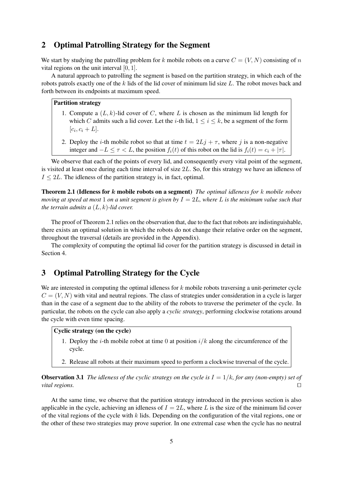## 2 Optimal Patrolling Strategy for the Segment

We start by studying the patrolling problem for k mobile robots on a curve  $C = (V, N)$  consisting of n vital regions on the unit interval [0, 1].

A natural approach to patrolling the segment is based on the partition strategy, in which each of the robots patrols exactly one of the k lids of the lid cover of minimum lid size L. The robot moves back and forth between its endpoints at maximum speed.

#### Partition strategy

- 1. Compute a  $(L, k)$ -lid cover of C, where L is chosen as the minimum lid length for which C admits such a lid cover. Let the *i*-th lid,  $1 \le i \le k$ , be a segment of the form  $[c_i, c_i + L]$ .
- 2. Deploy the *i*-th mobile robot so that at time  $t = 2Lj + \tau$ , where j is a non-negative integer and  $-L \leq \tau \leq L$ , the position  $f_i(t)$  of this robot on the lid is  $f_i(t) = c_i + |\tau|$ .

We observe that each of the points of every lid, and consequently every vital point of the segment, is visited at least once during each time interval of size  $2L$ . So, for this strategy we have an idleness of  $I \leq 2L$ . The idleness of the partition strategy is, in fact, optimal.

Theorem 2.1 (Idleness for k mobile robots on a segment) *The optimal idleness for* k *mobile robots moving at speed at most* 1 *on a unit segment is given by*  $I = 2L$ *, where* L *is the minimum value such that the terrain admits a* (L, k)*-lid cover.*

The proof of Theorem 2.1 relies on the observation that, due to the fact that robots are indistinguishable, there exists an optimal solution in which the robots do not change their relative order on the segment, throughout the traversal (details are provided in the Appendix).

The complexity of computing the optimal lid cover for the partition strategy is discussed in detail in Section 4.

## 3 Optimal Patrolling Strategy for the Cycle

We are interested in computing the optimal idleness for  $k$  mobile robots traversing a unit-perimeter cycle  $C = (V, N)$  with vital and neutral regions. The class of strategies under consideration in a cycle is larger than in the case of a segment due to the ability of the robots to traverse the perimeter of the cycle. In particular, the robots on the cycle can also apply a *cyclic strategy*, performing clockwise rotations around the cycle with even time spacing.

#### Cyclic strategy (on the cycle)

- 1. Deploy the *i*-th mobile robot at time 0 at position  $i/k$  along the circumference of the cycle.
- 2. Release all robots at their maximum speed to perform a clockwise traversal of the cycle.

**Observation 3.1** *The idleness of the cyclic strategy on the cycle is*  $I = 1/k$ *, for any (non-empty) set of vital regions.*  $\square$ 

At the same time, we observe that the partition strategy introduced in the previous section is also applicable in the cycle, achieving an idleness of  $I = 2L$ , where L is the size of the minimum lid cover of the vital regions of the cycle with  $k$  lids. Depending on the configuration of the vital regions, one or the other of these two strategies may prove superior. In one extremal case when the cycle has no neutral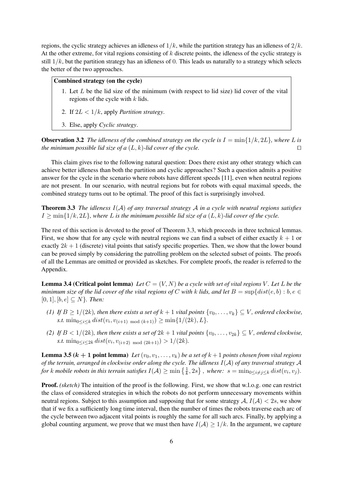regions, the cyclic strategy achieves an idleness of  $1/k$ , while the partition strategy has an idleness of  $2/k$ . At the other extreme, for vital regions consisting of  $k$  discrete points, the idleness of the cyclic strategy is still  $1/k$ , but the partition strategy has an idleness of 0. This leads us naturally to a strategy which selects the better of the two approaches.

#### Combined strategy (on the cycle)

- 1. Let  $L$  be the lid size of the minimum (with respect to lid size) lid cover of the vital regions of the cycle with  $k$  lids.
- 2. If 2L < 1/k, apply *Partition strategy*.
- 3. Else, apply *Cyclic strategy*.

**Observation 3.2** *The idleness of the combined strategy on the cycle is*  $I = min\{1/k, 2L\}$ *, where* L *is the minimum possible lid size of a*  $(L, k)$ *-lid cover of the cycle.* 

This claim gives rise to the following natural question: Does there exist any other strategy which can achieve better idleness than both the partition and cyclic approaches? Such a question admits a positive answer for the cycle in the scenario where robots have different speeds [11], even when neutral regions are not present. In our scenario, with neutral regions but for robots with equal maximal speeds, the combined strategy turns out to be optimal. The proof of this fact is surprisingly involved.

Theorem 3.3 *The idleness* I(A) *of any traversal strategy* A *in a cycle with neutral regions satisfies*  $I \geq \min\{1/k, 2L\}$ , where L is the minimum possible lid size of a  $(L, k)$ -lid cover of the cycle.

The rest of this section is devoted to the proof of Theorem 3.3, which proceeds in three technical lemmas. First, we show that for any cycle with neutral regions we can find a subset of either exactly  $k + 1$  or exactly  $2k + 1$  (discrete) vital points that satisfy specific properties. Then, we show that the lower bound can be proved simply by considering the patrolling problem on the selected subset of points. The proofs of all the Lemmas are omitted or provided as sketches. For complete proofs, the reader is referred to the Appendix.

**Lemma 3.4 (Critical point lemma)** Let  $C = (V, N)$  be a cycle with set of vital regions V. Let L be the *minimum size of the lid cover of the vital regions of* C *with* k *lids, and let*  $B = \sup\{dist(e, b) : b, e \in A\}$  $[0, 1], [b, e] \subseteq N$ *}. Then:* 

- *(1) If*  $B \ge 1/(2k)$ *, then there exists a set of*  $k + 1$  *vital points*  $\{v_0, \ldots, v_k\} \subseteq V$ *, ordered clockwise, s.t.*  $\min_{0 \le i \le k} dist(v_i, v_{(i+1) \mod (k+1)}) \ge \min\{1/(2k), L\}.$
- *(2) If*  $B < 1/(2k)$ *, then there exists a set of*  $2k + 1$  *vital points*  $\{v_0, \ldots, v_{2k}\} \subseteq V$ *, ordered clockwise, s.t.* min<sub>0≤i≤2k</sub> dist( $v_i, v_{(i+2) \mod (2k+1)}$ ) > 1/(2k).

**Lemma 3.5** ( $k + 1$  point lemma) *Let*  $(v_0, v_1, \ldots, v_k)$  *be a set of*  $k + 1$  *points chosen from vital regions of the terrain, arranged in clockwise order along the cycle. The idleness* I(A) *of any traversal strategy* A for k mobile robots in this terrain satisfies  $I(A) \ge \min\left\{\frac{1}{k},2s\right\}$ , where:  $s = \min_{0 \le i \neq j \le k} dist(v_i,v_j)$ .

**Proof.** *(sketch)* The intuition of the proof is the following. First, we show that w.l.o.g. one can restrict the class of considered strategies in which the robots do not perform unnecessary movements within neutral regions. Subject to this assumption and supposing that for some strategy  $A, I(A) < 2s$ , we show that if we fix a sufficiently long time interval, then the number of times the robots traverse each arc of the cycle between two adjacent vital points is roughly the same for all such arcs. Finally, by applying a global counting argument, we prove that we must then have  $I(\mathcal{A}) \geq 1/k$ . In the argument, we capture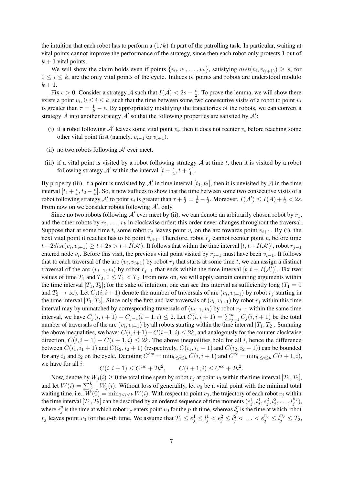the intuition that each robot has to perform a  $(1/k)$ -th part of the patrolling task. In particular, waiting at vital points cannot improve the performance of the strategy, since then each robot only protects 1 out of  $k + 1$  vital points.

We will show the claim holds even if points  $\{v_0, v_1, \ldots, v_k\}$ , satisfying  $dist(v_i, v_{(i+1)}) \geq s$ , for  $0 \le i \le k$ , are the only vital points of the cycle. Indices of points and robots are understood modulo  $k+1$ .

Fix  $\epsilon > 0$ . Consider a strategy A such that  $I(\mathcal{A}) < 2s - \frac{\epsilon}{2}$  $\frac{\epsilon}{2}$ . To prove the lemma, we will show there exists a point  $v_i$ ,  $0 \le i \le k$ , such that the time between some two consecutive visits of a robot to point  $v_i$ is greater than  $\tau = \frac{1}{k} - \epsilon$ . By appropriately modifying the trajectories of the robots, we can convert a strategy A into another strategy  $A'$  so that the following properties are satisfied by  $A'$ :

- (i) if a robot following  $A'$  leaves some vital point  $v_i$ , then it does not reenter  $v_i$  before reaching some other vital point first (namely,  $v_{i-1}$  or  $v_{i+1}$ ),
- (ii) no two robots following  $A'$  ever meet,
- (iii) if a vital point is visited by a robot following strategy  $A$  at time t, then it is visited by a robot following strategy  $A'$  within the interval  $[t - \frac{\epsilon}{4}]$  $\frac{\epsilon}{4}$ ,  $t + \frac{\epsilon}{4}$  $\frac{\epsilon}{4}$ .

By property (iii), if a point is unvisited by  $A'$  in time interval  $[t_1, t_2]$ , then it is unvisited by  $A$  in the time interval  $[t_1 + \frac{\epsilon}{4}]$  $\frac{\epsilon}{4}$ ,  $t_2 - \frac{\epsilon}{4}$  $\frac{\epsilon}{4}$ . So, it now suffices to show that the time between some two consecutive visits of a robot following strategy A' to point  $v_i$  is greater than  $\tau + \frac{\epsilon}{2} = \frac{1}{k} - \frac{\epsilon}{2}$  $\frac{\epsilon}{2}$ . Moreover,  $I(\mathcal{A}') \leq I(A) + \frac{\epsilon}{2} < 2s$ . From now on we consider robots following  $A'$ , only.

Since no two robots following  $A'$  ever meet by (ii), we can denote an arbitrarily chosen robot by  $r_1$ , and the other robots by  $r_2, \ldots, r_k$  in clockwise order; this order never changes throughout the traversal. Suppose that at some time t, some robot  $r_i$  leaves point  $v_i$  on the arc towards point  $v_{i+1}$ . By (i), the next vital point it reaches has to be point  $v_{i+1}$ . Therefore, robot  $r_i$  cannot reenter point  $v_i$  before time  $t+2dist(v_i, v_{i+1}) \ge t+2s > t+I(\mathcal{A}^t)$ . It follows that within the time interval  $[t, t+I(\mathcal{A}^t)]$ , robot  $r_{j-1}$ entered node  $v_i$ . Before this visit, the previous vital point visited by  $r_{j-1}$  must have been  $v_{i-1}$ . It follows that to each traversal of the arc  $(v_i, v_{i+1})$  by robot  $r_j$  that starts at some time t, we can assign a distinct traversal of the arc  $(v_{i-1}, v_i)$  by robot  $r_{j-1}$  that ends within the time interval  $[t, t + I(\mathcal{A}')]$ . Fix two values of time  $T_1$  and  $T_2$ ,  $0 \le T_1 < T_2$ . From now on, we will apply certain counting arguments within the time interval  $[T_1, T_2]$ ; for the sake of intuition, one can see this interval as sufficiently long ( $T_1 = 0$ ) and  $T_2 \to \infty$ ). Let  $C_j(i, i+1)$  denote the number of traversals of arc  $(v_i, v_{i+1})$  by robot  $r_j$  starting in the time interval  $[T_1, T_2]$ . Since only the first and last traversals of  $(v_i, v_{i+1})$  by robot  $r_j$  within this time interval may by unmatched by corresponding traversals of  $(v_{i-1}, v_i)$  by robot  $r_{j-1}$  within the same time interval, we have  $C_j(i, i + 1) - C_{j-1}(i - 1, i) \le 2$ . Let  $C(i, i + 1) = \sum_{j=1}^{k} C_j(i, i + 1)$  be the total number of traversals of the arc  $(v_i, v_{i+1})$  by all robots starting within the time interval  $[T_1, T_2]$ . Summing the above inequalities, we have:  $C(i, i+1)-C(i-1, i) \leq 2k$ , and analogously for the counter-clockwise direction,  $C(i, i - 1) - C(i + 1, i) \leq 2k$ . The above inequalities hold for all i, hence the difference between  $C(i_1, i_1 + 1)$  and  $C(i_2, i_2 + 1)$  (respectively,  $C(i_1, i_1 - 1)$  and  $C(i_2, i_2 - 1)$ ) can be bounded for any  $i_1$  and  $i_2$  on the cycle. Denoting  $C^{cw} = \min_{0 \le i \le k} C(i, i + 1)$  and  $C^{cc} = \min_{0 \le i \le k} C(i + 1, i)$ , we have for all *i*:  $C(i, i + 1) \leq C^{cw} + 2k^2$ ,  $C(i + 1, i) \leq C^{cc} + 2k^2$ .

Now, denote by  $W_j(i) \geq 0$  the total time spent by robot  $r_j$  at point  $v_i$  within the time interval  $[T_1, T_2]$ , and let  $W(i) = \sum_{j=1}^{k} W_j(i)$ . Without loss of generality, let  $v_0$  be a vital point with the minimal total waiting time, i.e.,  $\tilde{W}(0) = \min_{0 \le i \le k} W(i)$ . With respect to point  $v_0$ , the trajectory of each robot  $r_j$  within the time interval  $[T_1, T_2]$  can be described by an ordered sequence of time moments  $(e_j^1, l_j^1, e_j^2, l_j^2, \ldots, l_j^{n_j})$ , where  $e_i^p$  $j$  is the time at which robot  $r_j$  enters point  $v_0$  for the p-th time, whereas  $l_j^p$  $j<sup>p</sup>$  is the time at which robot  $r_j$  leaves point  $v_0$  for the p-th time. We assume that  $T_1 \le e_j^1 \le l_j^1 < e_j^2 \le l_j^2 < \ldots < e_j^{n_j} \le l_j^{n_j} \le T_2$ ,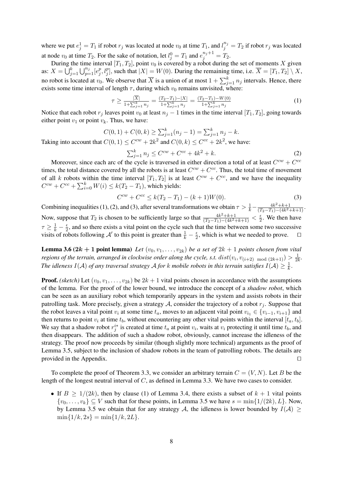where we put  $e_j^1 = T_1$  if robot  $r_j$  was located at node  $v_0$  at time  $T_1$ , and  $l_j^{n_j} = T_2$  if robot  $r_j$  was located at node  $v_0$  at time  $T_2$ . For the sake of notation, let  $l_j^0 = T_1$  and  $e_j^{n_j+1} = T_2$ .

During the time interval  $[T_1, T_2]$ , point  $v_0$  is covered by a robot during the set of moments X given as:  $X = \bigcup_{j=1}^{k} \bigcup_{p=1}^{n_j} [e_j^p]$  $_{j}^{p}, l_{j}^{p}$ , such that  $|X| = W(0)$ . During the remaining time, i.e.  $\overline{X} = [T_1, T_2] \setminus X$ , no robot is located at  $v_0$ . We observe that  $\overline{X}$  is a union of at most  $1 + \sum_{j=1}^{k} n_j$  intervals. Hence, there exists some time interval of length  $\tau$ , during which  $v_0$  remains unvisited, where:

$$
\tau \ge \frac{|\overline{X}|}{1 + \sum_{j=1}^k n_j} = \frac{(T_2 - T_1) - |X|}{1 + \sum_{j=1}^k n_j} = \frac{(T_2 - T_1) - W(0)}{1 + \sum_{j=1}^k n_j} \tag{1}
$$

Notice that each robot  $r_j$  leaves point  $v_0$  at least  $n_j - 1$  times in the time interval  $[T_1, T_2]$ , going towards either point  $v_1$  or point  $v_k$ . Thus, we have:

$$
C(0,1) + C(0,k) \ge \sum_{j=1}^{k} (n_j - 1) = \sum_{j=1}^{k} n_j - k.
$$
  

$$
C(0,1) < C^{cw} + 2k^2
$$
 and 
$$
C(0,k) < C^{cc} + 2k^2
$$
 we have

Taking into account that  $C(0, 1) \leq C^{cw} + 2k^2$  and  $C(0, k) \leq C^{cc} + 2k^2$ , we have:

$$
\sum_{j=1}^{k} n_j \le C^{cw} + C^{cc} + 4k^2 + k. \tag{2}
$$

Moreover, since each arc of the cycle is traversed in either direction a total of at least  $C^{cw} + C^{cc}$ times, the total distance covered by all the robots is at least  $C^{cw} + C^{cc}$ . Thus, the total time of movement of all k robots within the time interval  $[T_1, T_2]$  is at least  $C^{cw} + C^{cc}$ , and we have the inequality  $C^{cw} + C^{cc} + \sum_{i=0}^{k} W(i) \leq k(T_2 - T_1)$ , which yields:

$$
C^{cw} + C^{cc} \le k(T_2 - T_1) - (k+1)W(0). \tag{3}
$$

Combining inequalities (1), (2), and (3), after several transformations we obtain  $\tau > \frac{1}{k} - \frac{4k^2 + k+1}{(T_2 - T_1) - (4k^2 - k)}$  $\frac{4k^2+k+1}{(T_2-T_1)-(4k^2+k+1)}$ Now, suppose that  $T_2$  is chosen to be sufficiently large so that  $\frac{4k^2+k+1}{(T_2-T_1)-(4k^2)}$  $\frac{4k^2+k+1}{(T_2-T_1)-(4k^2+k+1)} < \frac{\epsilon}{2}$  $\frac{\epsilon}{2}$ . We then have  $\tau \geq \frac{1}{k} - \frac{\epsilon}{2}$  $\frac{\epsilon}{2}$ , and so there exists a vital point on the cycle such that the time between some two successive visits of robots following A' to this point is greater than  $\frac{1}{k} - \frac{\epsilon}{2}$  $\frac{\epsilon}{2}$ , which is what we needed to prove.  $\square$ 

**Lemma 3.6 (2k + 1 point lemma)** Let  $(v_0, v_1, \ldots, v_{2k})$  be a set of  $2k + 1$  points chosen from vital *regions of the terrain, arranged in clockwise order along the cycle, s.t.*  $dist(v_i, v_{(i+2) \mod (2k+1)}) > \frac{1}{2k}$  $\frac{1}{2k}$ . *The idleness*  $I(A)$  *of any traversal strategy A for k mobile robots in this terrain satisfies*  $I(A) \geq \frac{1}{k}$  $\frac{1}{k}$ .

**Proof.** *(sketch)* Let  $(v_0, v_1, \ldots, v_{2k})$  be  $2k + 1$  vital points chosen in accordance with the assumptions of the lemma. For the proof of the lower bound, we introduce the concept of a *shadow robot*, which can be seen as an auxiliary robot which temporarily appears in the system and assists robots in their patrolling task. More precisely, given a strategy A, consider the trajectory of a robot  $r_i$ . Suppose that the robot leaves a vital point  $v_i$  at some time  $t_a$ , moves to an adjacent vital point  $v_{i_1} \in \{v_{i-1}, v_{i+1}\}\$ and then returns to point  $v_i$  at time  $t_b$ , without encountering any other vital points within the interval  $[t_a, t_b]$ . We say that a shadow robot  $r_j^{i*}$  is created at time  $t_a$  at point  $v_i$ , waits at  $v_i$  protecting it until time  $t_b$ , and then disappears. The addition of such a shadow robot, obviously, cannot increase the idleness of the strategy. The proof now proceeds by similar (though slightly more technical) arguments as the proof of Lemma 3.5, subject to the inclusion of shadow robots in the team of patrolling robots. The details are provided in the Appendix.  $\Box$ 

To complete the proof of Theorem 3.3, we consider an arbitrary terrain  $C = (V, N)$ . Let B be the length of the longest neutral interval of C, as defined in Lemma 3.3. We have two cases to consider.

• If  $B \ge 1/(2k)$ , then by clause (1) of Lemma 3.4, there exists a subset of  $k + 1$  vital points  $\{v_0, \ldots, v_k\} \subseteq V$  such that for these points, in Lemma 3.5 we have  $s = \min\{1/(2k), L\}$ . Now, by Lemma 3.5 we obtain that for any strategy A, the idleness is lower bounded by  $I(A)$  $\min\{1/k, 2s\} = \min\{1/k, 2L\}.$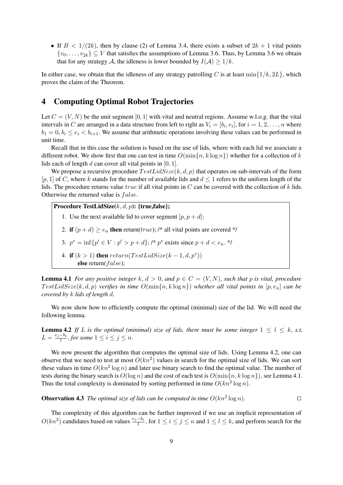• If  $B < 1/(2k)$ , then by clause (2) of Lemma 3.4, there exists a subset of  $2k + 1$  vital points  $\{v_0, \ldots, v_{2k}\} \subseteq V$  that satisfies the assumptions of Lemma 3.6. Thus, by Lemma 3.6 we obtain that for any strategy A, the idleness is lower bounded by  $I(A) \geq 1/k$ .

In either case, we obtain that the idleness of any strategy patrolling C is at least  $\min\{1/k, 2L\}$ , which proves the claim of the Theorem.

# 4 Computing Optimal Robot Trajectories

Let  $C = (V, N)$  be the unit segment [0, 1] with vital and neutral regions. Assume w.l.o.g. that the vital intervals in C are arranged in a data structure from left to right as  $V_i = [b_i, e_i]$ , for  $i = 1, 2, ..., n$  where  $b_1 = 0, b_i \le e_i < b_{i+1}$ . We assume that arithmetic operations involving these values can be performed in unit time.

Recall that in this case the solution is based on the use of lids, where with each lid we associate a different robot. We show first that one can test in time  $O(\min\{n, k \log n\})$  whether for a collection of k lids each of length d can cover all vital points in  $[0, 1]$ .

We propose a recursive procedure  $TestLi dSize(k, d, p)$  that operates on sub-intervals of the form [p, 1] of C, where k stands for the number of available lids and  $d \leq 1$  refers to the uniform length of the lids. The procedure returns value  $true$  if all vital points in C can be covered with the collection of k lids. Otherwise the returned value is  $false$ .

# Procedure TestLidSize $(k, d, p)$ : {true,false}:

1. Use the next available lid to cover segment  $[p, p + d]$ ; 2. if  $(p+d) \ge e_n$  then return(*true*); /\* all vital points are covered \*/ 3.  $p^* = \inf \{ p' \in V : p' > p + d \};$  /\*  $p^*$  exists since  $p + d < e_n$ . \*/

4. if 
$$
(k > 1)
$$
 then return $(TestLidSize(k - 1, d, p^*))$   
else return $(false)$ ;

**Lemma 4.1** *For any positive integer* k,  $d > 0$ , and  $p \in C = (V, N)$ , such that p is vital, procedure TestLidSize(k, d, p) *verifies in time*  $O(\min\{n, k \log n\})$  *whether all vital points in* [p, e<sub>n</sub>] *can be covered by* k *lids of length* d*.*

We now show how to efficiently compute the optimal (minimal) size of the lid. We will need the following lemma.

**Lemma 4.2** If L is the optimal (minimal) size of lids, there must be some integer  $1 \leq l \leq k$ , s.t,  $L = \frac{e_j - b_i}{l}$  $\frac{1}{l} \frac{1}{l}$ , for some  $1 \leq i \leq j \leq n$ .

We now present the algorithm that computes the optimal size of lids. Using Lemma 4.2, one can observe that we need to test at most  $O(kn^2)$  values in search for the optimal size of lids. We can sort these values in time  $O(kn^2 \log n)$  and later use binary search to find the optimal value. The number of tests during the binary search is  $O(\log n)$  and the cost of each test is  $O(\min\{n, k \log n\})$ , see Lemma 4.1. Thus the total complexity is dominated by sorting performed in time  $O(kn^2 \log n)$ .

**Observation 4.3** *The optimal size of lids can be computed in time*  $O(kn^2 \log n)$ .

The complexity of this algorithm can be further improved if we use an implicit representation of  $O(kn^2)$  candidates based on values  $\frac{e_j-b_i}{l}$ , for  $1 \le i \le j \le n$  and  $1 \le l \le k$ , and perform search for the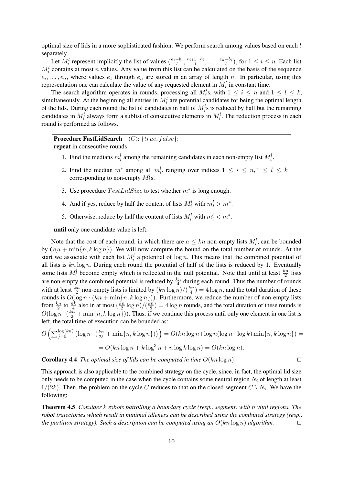optimal size of lids in a more sophisticated fashion. We perform search among values based on each  $l$ separately.

Let  $M_i^l$  represent implicitly the list of values  $\left(\frac{e_i-b_i}{l}, \frac{e_{i+1}-b_i}{l}\right)$  $\frac{e_1-b_i}{l},\ldots,\frac{e_n-b_i}{l}$ ), for  $1\leq i\leq n$ . Each list  $M_i^l$  contains at most n values. Any value from this list can be calculated on the basis of the sequence  $e_i, \ldots, e_n$ , where values  $e_1$  through  $e_n$  are stored in an array of length n. In particular, using this representation one can calculate the value of any requested element in  $M_i^l$  in constant time.

The search algorithm operates in rounds, processing all  $M_i^l$ s, with  $1 \le i \le n$  and  $1 \le l \le k$ , simultaneously. At the beginning all entries in  $M_i^l$  are potential candidates for being the optimal length of the lids. During each round the list of candidates in half of  $M_i^l$ s is reduced by half but the remaining candidates in  $M_i^l$  always form a sublist of consecutive elements in  $M_i^l$ . The reduction process in each round is performed as follows.

#### **Procedure FastLidSearch** (C):  $\{true, false\};$ repeat in consecutive rounds

- 1. Find the medians  $m_i^l$  among the remaining candidates in each non-empty list  $M_i^l$ .
- 2. Find the median  $m^*$  among all  $m_i^l$ , ranging over indices  $1 \le i \le n, 1 \le l \le k$ corresponding to non-empty  $M_i^l$ s.
- 3. Use procedure  $TestLidSize$  to test whether  $m^*$  is long enough.
- 4. And if yes, reduce by half the content of lists  $M_i^l$  with  $m_i^l > m^*$ .
- 5. Otherwise, reduce by half the content of lists  $M_i^l$  with  $m_i^l < m^*$ .

until only one candidate value is left.

Note that the cost of each round, in which there are  $a \leq kn$  non-empty lists  $M_i^l$ , can be bounded by  $O(a + \min\{n, k \log n\})$ . We will now compute the bound on the total number of rounds. At the start we associate with each list  $M_i^l$  a potential of log n. This means that the combined potential of all lists is  $kn \log n$ . During each round the potential of half of the lists is reduced by 1. Eventually some lists  $M_i^l$  become empty which is reflected in the null potential. Note that until at least  $\frac{kn}{2}$  lists are non-empty the combined potential is reduced by  $\frac{kn}{4}$  during each round. Thus the number of rounds with at least  $\frac{kn}{2}$  non-empty lists is limited by  $(kn \log n)/(\frac{kn}{4})$  $\frac{\epsilon n}{4}) = 4 \log n$ , and the total duration of these rounds is  $O(\log n \cdot (kn + \min\{n, k \log n\}))$ . Furthermore, we reduce the number of non-empty lists from  $\frac{kn}{2}$  to  $\frac{nk}{4}$  also in at most  $(\frac{kn}{2})$  $\frac{\varepsilon n}{2} \log n)/(\frac{kn}{8}$  $\frac{\epsilon n}{8}$ ) = 4 log *n* rounds, and the total duration of these rounds is  $O(\log n \cdot (\frac{kn}{2} + \min\{n, k \log n\}))$ . Thus, if we continue this process until only one element in one list is left, the total time of execution can be bounded as:

$$
O\left(\sum_{j=0}^{\log(kn)} \left(\log n \cdot \left(\frac{kn}{2^j} + \min\{n, k \log n\}\right)\right)\right) = O(kn \log n + \log n(\log n + \log k) \min\{n, k \log n\}) =
$$

$$
= O(kn \log n + k \log^3 n + n \log k \log n) = O(kn \log n).
$$

**Corollary 4.4** *The optimal size of lids can be computed in time*  $O(kn \log n)$ .

This approach is also applicable to the combined strategy on the cycle, since, in fact, the optimal lid size only needs to be computed in the case when the cycle contains some neutral region  $N_i$  of length at least  $1/(2k)$ . Then, the problem on the cycle C reduces to that on the closed segment  $C \setminus N_i$ . We have the following:

Theorem 4.5 *Consider* k *robots patrolling a boundary cycle (resp., segment) with* n *vital regions. The robot trajectories which result in minimal idleness can be described using the combined strategy (resp., the partition strategy). Such a description can be computed using an*  $O(kn \log n)$  *algorithm.*  $\square$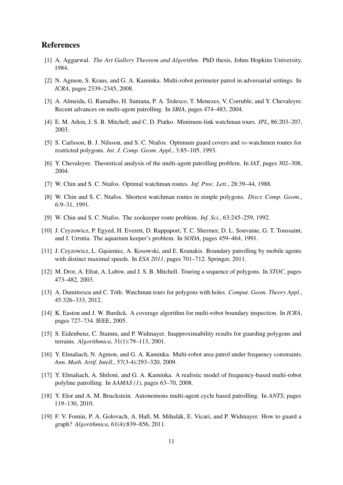### References

- [1] A. Aggarwal. *The Art Gallery Theorem and Algorithm*. PhD thesis, Johns Hopkins University, 1984.
- [2] N. Agmon, S. Kraus, and G. A. Kaminka. Multi-robot perimeter patrol in adversarial settings. In *ICRA*, pages 2339–2345, 2008.
- [3] A. Almeida, G. Ramalho, H. Santana, P. A. Tedesco, T. Menezes, V. Corruble, and Y. Chevaleyre. Recent advances on multi-agent patrolling. In *SBIA*, pages 474–483, 2004.
- [4] E. M. Arkin, J. S. B. Mitchell, and C. D. Piatko. Minimum-link watchman tours. *IPL*, 86:203–207, 2003.
- [5] S. Carlsson, B. J. Nilsson, and S. C. Ntafos. Optimum guard covers and m-watchmen routes for restricted polygons. *Int. J. Comp. Geom. Appl.*, 3:85–105, 1993.
- [6] Y. Chevaleyre. Theoretical analysis of the multi-agent patrolling problem. In *IAT*, pages 302–308, 2004.
- [7] W. Chin and S. C. Ntafos. Optimal watchman routes. *Inf. Proc. Lett.*, 28:39–44, 1988.
- [8] W. Chin and S. C. Ntafos. Shortest watchman routes in simple polygons. *Discr. Comp. Geom.*, 6:9–31, 1991.
- [9] W. Chin and S. C. Ntafos. The zookeeper route problem. *Inf. Sci.*, 63:245–259, 1992.
- [10] J. Czyzowicz, P. Egyed, H. Everett, D. Rappaport, T. C. Shermer, D. L. Souvaine, G. T. Toussaint, and J. Urrutia. The aquarium keeper's problem. In *SODA*, pages 459–464, 1991.
- [11] J. Czyzowicz, L. Gasieniec, A. Kosowski, and E. Kranakis. Boundary patrolling by mobile agents with distinct maximal speeds. In *ESA 2011*, pages 701–712. Springer, 2011.
- [12] M. Dror, A. Efrat, A. Lubiw, and J. S. B. Mitchell. Touring a sequence of polygons. In *STOC*, pages 473–482, 2003.
- [13] A. Dumitrescu and C. Tóth. Watchman tours for polygons with holes. *Comput. Geom. Theory Appl.*, 45:326–333, 2012.
- [14] K. Easton and J. W. Burdick. A coverage algorithm for multi-robot boundary inspection. In *ICRA*, pages 727–734. IEEE, 2005.
- [15] S. Eidenbenz, C. Stamm, and P. Widmayer. Inapproximability results for guarding polygons and terrains. *Algorithmica*, 31(1):79–113, 2001.
- [16] Y. Elmaliach, N. Agmon, and G. A. Kaminka. Multi-robot area patrol under frequency constraints. *Ann. Math. Artif. Intell.*, 57(3-4):293–320, 2009.
- [17] Y. Elmaliach, A. Shiloni, and G. A. Kaminka. A realistic model of frequency-based multi-robot polyline patrolling. In *AAMAS (1)*, pages 63–70, 2008.
- [18] Y. Elor and A. M. Bruckstein. Autonomous multi-agent cycle based patrolling. In *ANTS*, pages 119–130, 2010.
- [19] F. V. Fomin, P. A. Golovach, A. Hall, M. Mihalák, E. Vicari, and P. Widmayer. How to guard a graph? *Algorithmica*, 61(4):839–856, 2011.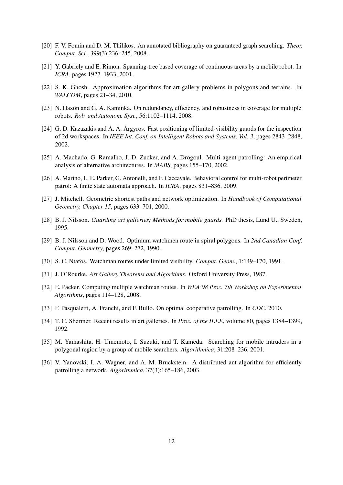- [20] F. V. Fomin and D. M. Thilikos. An annotated bibliography on guaranteed graph searching. *Theor. Comput. Sci.*, 399(3):236–245, 2008.
- [21] Y. Gabriely and E. Rimon. Spanning-tree based coverage of continuous areas by a mobile robot. In *ICRA*, pages 1927–1933, 2001.
- [22] S. K. Ghosh. Approximation algorithms for art gallery problems in polygons and terrains. In *WALCOM*, pages 21–34, 2010.
- [23] N. Hazon and G. A. Kaminka. On redundancy, efficiency, and robustness in coverage for multiple robots. *Rob. and Autonom. Syst.*, 56:1102–1114, 2008.
- [24] G. D. Kazazakis and A. A. Argyros. Fast positioning of limited-visibility guards for the inspection of 2d workspaces. In *IEEE Int. Conf. on Intelligent Robots and Systems, Vol. 3*, pages 2843–2848, 2002.
- [25] A. Machado, G. Ramalho, J.-D. Zucker, and A. Drogoul. Multi-agent patrolling: An empirical analysis of alternative architectures. In *MABS*, pages 155–170, 2002.
- [26] A. Marino, L. E. Parker, G. Antonelli, and F. Caccavale. Behavioral control for multi-robot perimeter patrol: A finite state automata approach. In *ICRA*, pages 831–836, 2009.
- [27] J. Mitchell. Geometric shortest paths and network optimization. In *Handbook of Computational Geometry, Chapter 15*, pages 633–701, 2000.
- [28] B. J. Nilsson. *Guarding art galleries; Methods for mobile guards.* PhD thesis, Lund U., Sweden, 1995.
- [29] B. J. Nilsson and D. Wood. Optimum watchmen route in spiral polygons. In *2nd Canadian Conf. Comput. Geometry*, pages 269–272, 1990.
- [30] S. C. Ntafos. Watchman routes under limited visibility. *Comput. Geom.*, 1:149–170, 1991.
- [31] J. O'Rourke. *Art Gallery Theorems and Algorithms*. Oxford University Press, 1987.
- [32] E. Packer. Computing multiple watchman routes. In *WEA'08 Proc. 7th Workshop on Experimental Algorithms*, pages 114–128, 2008.
- [33] F. Pasqualetti, A. Franchi, and F. Bullo. On optimal cooperative patrolling. In *CDC*, 2010.
- [34] T. C. Shermer. Recent results in art galleries. In *Proc. of the IEEE*, volume 80, pages 1384–1399, 1992.
- [35] M. Yamashita, H. Umemoto, I. Suzuki, and T. Kameda. Searching for mobile intruders in a polygonal region by a group of mobile searchers. *Algorithmica*, 31:208–236, 2001.
- [36] V. Yanovski, I. A. Wagner, and A. M. Bruckstein. A distributed ant algorithm for efficiently patrolling a network. *Algorithmica*, 37(3):165–186, 2003.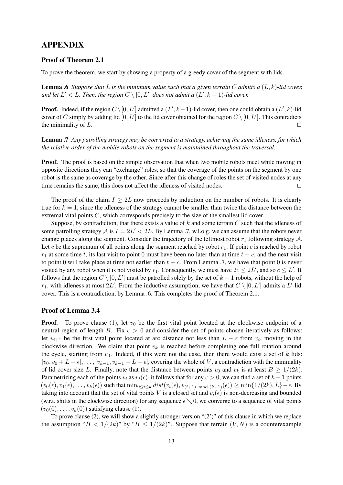# APPENDIX

#### Proof of Theorem 2.1

To prove the theorem, we start by showing a property of a greedy cover of the segment with lids.

Lemma .6 *Suppose that* L *is the minimum value such that a given terrain* C *admits a* (L, k)*-lid cover,* and let  $L' < L$ . Then, the region  $C \setminus [0, L']$  does not admit a  $(L', k - 1)$ -lid cover.

**Proof.** Indeed, if the region  $C \setminus [0, L']$  admitted a  $(L', k-1)$ -lid cover, then one could obtain a  $(L', k)$ -lid cover of C simply by adding lid  $[0, L']$  to the lid cover obtained for the region  $C \setminus [0, L']$ . This contradicts the minimality of L.  $\Box$ 

Lemma .7 *Any patrolling strategy may be converted to a strategy, achieving the same idleness, for which the relative order of the mobile robots on the segment is maintained throughout the traversal.*

**Proof.** The proof is based on the simple observation that when two mobile robots meet while moving in opposite directions they can "exchange" roles, so that the coverage of the points on the segment by one robot is the same as coverage by the other. Since after this change of roles the set of visited nodes at any time remains the same, this does not affect the idleness of visited nodes.  $\Box$ 

The proof of the claim  $I > 2L$  now proceeds by induction on the number of robots. It is clearly true for  $k = 1$ , since the idleness of the strategy cannot be smaller than twice the distance between the extremal vital points C, which corresponds precisely to the size of the smallest lid cover.

Suppose, by contradiction, that there exists a value of  $k$  and some terrain  $C$  such that the idleness of some patrolling strategy A is  $I = 2L' < 2L$ . By Lemma .7, w.l.o.g. we can assume that the robots never change places along the segment. Consider the trajectory of the leftmost robot  $r_1$  following strategy  $A$ . Let c be the supremum of all points along the segment reached by robot  $r_1$ . If point c is reached by robot  $r_1$  at some time t, its last visit to point 0 must have been no later than at time  $t - c$ , and the next visit to point 0 will take place at time not earlier than  $t + c$ . From Lemma .7, we have that point 0 is never visited by any robot when it is not visited by  $r_1$ . Consequently, we must have  $2c \le 2L'$ , and so  $c \le L'$ . It follows that the region  $C \setminus [0, L']$  must be patrolled solely by the set of  $k - 1$  robots, without the help of  $r_1$ , with idleness at most  $2L'$ . From the inductive assumption, we have that  $C \setminus [0, L']$  admits a  $L'$ -lid cover. This is a contradiction, by Lemma .6. This completes the proof of Theorem 2.1.

#### Proof of Lemma 3.4

**Proof.** To prove clause (1), let  $v_0$  be the first vital point located at the clockwise endpoint of a neutral region of length B. Fix  $\epsilon > 0$  and consider the set of points chosen iteratively as follows: let  $v_{i+1}$  be the first vital point located at arc distance not less than  $L - \epsilon$  from  $v_i$ , moving in the clockwise direction. We claim that point  $v_k$  is reached before completing one full rotation around the cycle, starting from  $v_0$ . Indeed, if this were not the case, then there would exist a set of k lids:  $[v_0, v_0 + L - \epsilon], \ldots, [v_{k-1}, v_{k-1} + L - \epsilon]$ , covering the whole of V, a contradiction with the minimality of lid cover size L. Finally, note that the distance between points  $v_0$  and  $v_k$  is at least  $B \ge 1/(2k)$ . Parametrizing each of the points  $v_i$  as  $v_i(\epsilon)$ , it follows that for any  $\epsilon > 0$ , we can find a set of  $k + 1$  points  $(v_0(\epsilon), v_1(\epsilon), \ldots, v_k(\epsilon))$  such that  $\min_{0 \le i \le k} dist(v_i(\epsilon), v_{(i+1) \mod (k+1)}(\epsilon)) \ge \min\{1/(2k), L\} - \epsilon$ . By taking into account that the set of vital points V is a closed set and  $v_i(\epsilon)$  is non-decreasing and bounded (w.r.t. shifts in the clockwise direction) for any sequence  $\epsilon \searrow 0$ , we converge to a sequence of vital points  $(v_0(0), \ldots, v_k(0))$  satisfying clause (1).

To prove clause (2), we will show a slightly stronger version " $(2')$ " of this clause in which we replace the assumption " $B < 1/(2k)$ " by " $B \le 1/(2k)$ ". Suppose that terrain  $(V, N)$  is a counterexample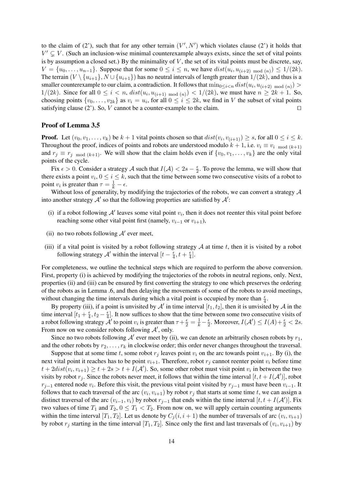to the claim of (2'), such that for any other terrain  $(V', N')$  which violates clause (2') it holds that  $V' \subsetneq V$ . (Such an inclusion-wise minimal counterexample always exists, since the set of vital points is by assumption a closed set.) By the minimality of  $V$ , the set of its vital points must be discrete, say,  $V = \{u_0, \ldots, u_{n-1}\}\$ . Suppose that for some  $0 \le i \le n$ , we have  $dist(u_i, u_{(i+2) \mod (n)}) \le 1/(2k)$ . The terrain  $(V \setminus \{u_{i+1}\}, N \cup \{u_{i+1}\})$  has no neutral intervals of length greater than  $1/(2k)$ , and thus is a smaller counterexample to our claim, a contradiction. It follows that  $\min_{0 \le i < n} dist(u_i, u_{(i+2) \mod (n)}) >$  $1/(2k)$ . Since for all  $0 \le i < n$ ,  $dist(u_i, u_{(i+1) \mod (n)}) < 1/(2k)$ , we must have  $n \ge 2k + 1$ . So, choosing points  $\{v_0, \ldots, v_{2k}\}\$  as  $v_i = u_i$ , for all  $0 \le i \le 2k$ , we find in V the subset of vital points satisfying clause (2'). So, V cannot be a counter-example to the claim.  $\square$ 

#### Proof of Lemma 3.5

**Proof.** Let  $(v_0, v_1, \ldots, v_k)$  be  $k+1$  vital points chosen so that  $dist(v_i, v_{(i+1)}) \geq s$ , for all  $0 \leq i \leq k$ . Throughout the proof, indices of points and robots are understood modulo  $k + 1$ , i.e.  $v_i \equiv v_i \mod (k+1)$ and  $r_j \equiv r_{j \mod (k+1)}$ . We will show that the claim holds even if  $\{v_0, v_1, \ldots, v_k\}$  are the only vital points of the cycle.

Fix  $\epsilon > 0$ . Consider a strategy A such that  $I(\mathcal{A}) < 2s - \frac{\epsilon}{2}$  $\frac{\epsilon}{2}$ . To prove the lemma, we will show that there exists a point  $v_i$ ,  $0 \le i \le k$ , such that the time between some two consecutive visits of a robot to point  $v_i$  is greater than  $\tau = \frac{1}{k} - \epsilon$ .

Without loss of generality, by modifying the trajectories of the robots, we can convert a strategy  $A$ into another strategy  $A'$  so that the following properties are satisfied by  $A'$ :

- (i) if a robot following  $A'$  leaves some vital point  $v_i$ , then it does not reenter this vital point before reaching some other vital point first (namely,  $v_{i-1}$  or  $v_{i+1}$ ),
- (ii) no two robots following  $A'$  ever meet,
- (iii) if a vital point is visited by a robot following strategy  $A$  at time t, then it is visited by a robot following strategy A' within the interval  $[t - \frac{\epsilon}{4}]$  $\frac{\epsilon}{4}$ ,  $t + \frac{\epsilon}{4}$  $\frac{\epsilon}{4}$ .

For completeness, we outline the technical steps which are required to perform the above conversion. First, property (i) is achieved by modifying the trajectories of the robots in neutral regions, only. Next, properties (ii) and (iii) can be ensured by first converting the strategy to one which preserves the ordering of the robots as in Lemma .6, and then delaying the movements of some of the robots to avoid meetings, without changing the time intervals during which a vital point is occupied by more than  $\frac{\epsilon}{4}$ .

By property (iii), if a point is unvisited by  $\mathcal{A}'$  in time interval  $[t_1, t_2]$ , then it is unvisited by  $\mathcal{A}$  in the time interval  $[t_1 + \frac{\epsilon}{4}]$  $\frac{\epsilon}{4}$ ,  $t_2 - \frac{\epsilon}{4}$  $\frac{\epsilon}{4}$ . It now suffices to show that the time between some two consecutive visits of a robot following strategy  $\mathcal{A}'$  to point  $v_i$  is greater than  $\tau + \frac{\epsilon}{2} = \frac{1}{k} - \frac{\epsilon}{2}$  $\frac{\epsilon}{2}$ . Moreover,  $I(\mathcal{A}') \leq I(A) + \frac{\epsilon}{2} < 2s$ . From now on we consider robots following  $A'$ , only.

Since no two robots following  $A'$  ever meet by (ii), we can denote an arbitrarily chosen robots by  $r_1$ , and the other robots by  $r_2, \ldots, r_k$  in clockwise order; this order never changes throughout the traversal.

Suppose that at some time t, some robot  $r_j$  leaves point  $v_i$  on the arc towards point  $v_{i+1}$ . By (i), the next vital point it reaches has to be point  $v_{i+1}$ . Therefore, robot  $r_i$  cannot reenter point  $v_i$  before time  $t + 2dist(v_i, v_{i+1}) \ge t + 2s > t + I(\mathcal{A}^t)$ . So, some other robot must visit point  $v_i$  in between the two visits by robot  $r_j$ . Since the robots never meet, it follows that within the time interval  $[t, t + I(\mathcal{A}')]$ , robot  $r_{j-1}$  entered node  $v_i$ . Before this visit, the previous vital point visited by  $r_{j-1}$  must have been  $v_{i-1}$ . It follows that to each traversal of the arc  $(v_i, v_{i+1})$  by robot  $r_j$  that starts at some time t, we can assign a distinct traversal of the arc  $(v_{i-1}, v_i)$  by robot  $r_{j-1}$  that ends within the time interval  $[t, t + I(\mathcal{A}')]$ . Fix two values of time  $T_1$  and  $T_2$ ,  $0 \le T_1 < T_2$ . From now on, we will apply certain counting arguments within the time interval  $[T_1, T_2]$ . Let us denote by  $C_j(i, i + 1)$  the number of traversals of arc  $(v_i, v_{i+1})$ by robot  $r_j$  starting in the time interval  $[T_1, T_2]$ . Since only the first and last traversals of  $(v_i, v_{i+1})$  by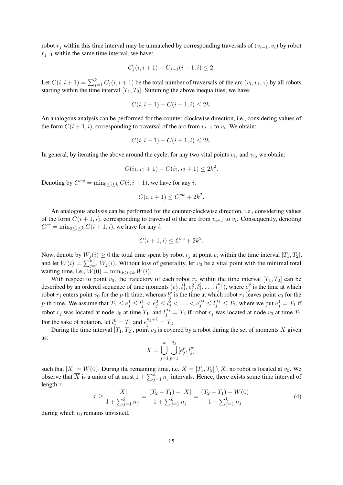robot  $r_j$  within this time interval may be unmatched by corresponding traversals of  $(v_{i-1}, v_i)$  by robot  $r_{i-1}$  within the same time interval, we have:

$$
C_j(i, i+1) - C_{j-1}(i-1, i) \le 2.
$$

Let  $C(i, i + 1) = \sum_{j=1}^{k} C_j(i, i + 1)$  be the total number of traversals of the arc  $(v_i, v_{i+1})$  by all robots starting within the time interval  $[T_1, T_2]$ . Summing the above inequalities, we have:

$$
C(i, i + 1) - C(i - 1, i) \le 2k.
$$

An analogous analysis can be performed for the counter-clockwise direction, i.e., considering values of the form  $C(i + 1, i)$ , corresponding to traversal of the arc from  $v_{i+1}$  to  $v_i$ . We obtain:

$$
C(i, i - 1) - C(i + 1, i) \le 2k.
$$

In general, by iterating the above around the cycle, for any two vital points  $v_{i_1}$  and  $v_{i_2}$  we obtain:

$$
C(i_1, i_1 + 1) - C(i_2, i_2 + 1) \le 2k^2.
$$

Denoting by  $C^{cw} = \min_{0 \le i \le k} C(i, i + 1)$ , we have for any *i*:

$$
C(i, i+1) \le C^{cw} + 2k^2.
$$

An analogous analysis can be performed for the counter-clockwise direction, i.e., considering values of the form  $C(i + 1, i)$ , corresponding to traversal of the arc from  $v_{i+1}$  to  $v_i$ . Consequently, denoting  $C^{cc} = \min_{0 \le i \le k} C(i + 1, i)$ , we have for any *i*:

$$
C(i+1,i) \leq C^{cc} + 2k^2.
$$

Now, denote by  $W_j(i) \geq 0$  the total time spent by robot  $r_j$  at point  $v_i$  within the time interval  $[T_1, T_2]$ , and let  $W(i) = \sum_{j=1}^{k} W_j(i)$ . Without loss of generality, let  $v_0$  be a vital point with the minimal total waiting time, i.e.,  $\tilde{W}(0) = \min_{0 \le i \le k} W(i)$ .

With respect to point  $v_0$ , the trajectory of each robot  $r_j$  within the time interval  $[T_1, T_2]$  can be described by an ordered sequence of time moments  $(e_j^1, l_j^1, e_j^2, l_j^2, \ldots, l_j^{n_j})$ , where  $e_j^p$  $j<sup>p</sup>$  is the time at which robot  $r_j$  enters point  $v_0$  for the p-th time, whereas  $l_j^p$  $_j^p$  is the time at which robot  $r_j$  leaves point  $v_0$  for the p-th time. We assume that  $T_1 \le e_j^1 \le l_j^1 < e_j^2 \le l_j^2 < \ldots < e_j^{n_j} \le l_j^{n_j} \le T_2$ , where we put  $e_j^1 = T_1$  if robot  $r_j$  was located at node  $v_0$  at time  $T_1$ , and  $l_j^{n_j} = T_2$  if robot  $r_j$  was located at node  $v_0$  at time  $T_2$ . For the sake of notation, let  $l_j^0 = T_1$  and  $e_j^{n_j+1} = T_2$ .

During the time interval  $[T_1, T_2]$ , point  $v_0$  is covered by a robot during the set of moments X given as:

$$
X = \bigcup_{j=1}^k \bigcup_{p=1}^{n_j} [e_j^p, l_j^p],
$$

such that  $|X| = W(0)$ . During the remaining time, i.e.  $X = [T_1, T_2] \setminus X$ , no robot is located at  $v_0$ . We observe that  $\overline{X}$  is a union of at most  $1 + \sum_{j=1}^{k} n_j$  intervals. Hence, there exists some time interval of length  $\tau$ :

$$
\tau \ge \frac{|\overline{X}|}{1 + \sum_{j=1}^k n_j} = \frac{(T_2 - T_1) - |X|}{1 + \sum_{j=1}^k n_j} = \frac{(T_2 - T_1) - W(0)}{1 + \sum_{j=1}^k n_j} \tag{4}
$$

during which  $v_0$  remains unvisited.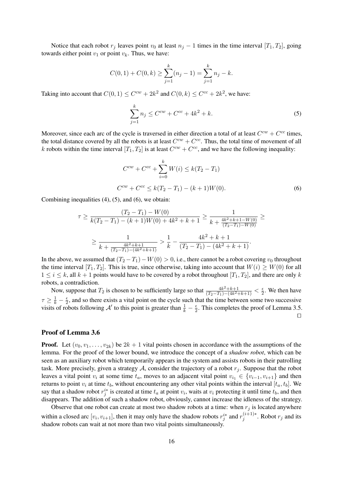Notice that each robot  $r_j$  leaves point  $v_0$  at least  $n_j - 1$  times in the time interval  $[T_1, T_2]$ , going towards either point  $v_1$  or point  $v_k$ . Thus, we have:

$$
C(0,1) + C(0,k) \ge \sum_{j=1}^{k} (n_j - 1) = \sum_{j=1}^{k} n_j - k.
$$

Taking into account that  $C(0, 1) \leq C^{cw} + 2k^2$  and  $C(0, k) \leq C^{cc} + 2k^2$ , we have:

$$
\sum_{j=1}^{k} n_j \le C^{cw} + C^{cc} + 4k^2 + k. \tag{5}
$$

Moreover, since each arc of the cycle is traversed in either direction a total of at least  $C^{cw} + C^{cc}$  times, the total distance covered by all the robots is at least  $C^{cw} + C^{cc}$ . Thus, the total time of movement of all k robots within the time interval  $[T_1, T_2]$  is at least  $C^{cw} + C^{cc}$ , and we have the following inequality:

$$
C^{cw} + C^{cc} + \sum_{i=0}^{k} W(i) \le k(T_2 - T_1)
$$
  

$$
C^{cw} + C^{cc} \le k(T_2 - T_1) - (k+1)W(0).
$$
 (6)

Combining inequalities (4), (5), and (6), we obtain:

$$
\tau \ge \frac{(T_2 - T_1) - W(0)}{k(T_2 - T_1) - (k+1)W(0) + 4k^2 + k + 1} \ge \frac{1}{k + \frac{4k^2 + k + 1 - W(0)}{(T_2 - T_1) - W(0)}} \ge \frac{1}{k + \frac{4k^2 + k + 1}{(T_2 - T_1) - (4k^2 + k + 1)}} > \frac{1}{k} - \frac{4k^2 + k + 1}{(T_2 - T_1) - (4k^2 + k + 1)}.
$$

In the above, we assumed that  $(T_2 - T_1) - W(0) > 0$ , i.e., there cannot be a robot covering  $v_0$  throughout the time interval  $[T_1, T_2]$ . This is true, since otherwise, taking into account that  $W(i) \geq W(0)$  for all  $1 \leq i \leq k$ , all  $k + 1$  points would have to be covered by a robot throughout  $[T_1, T_2]$ , and there are only k robots, a contradiction.

Now, suppose that  $T_2$  is chosen to be sufficiently large so that  $\frac{4k^2+k+1}{(T_2-T_1)-(4k^2-1)}$  $\frac{4k^2+k+1}{(T_2-T_1)-(4k^2+k+1)} < \frac{\epsilon}{2}$  $\frac{\epsilon}{2}$ . We then have  $\tau \geq \frac{1}{k} - \frac{\epsilon}{2}$  $\frac{\epsilon}{2}$ , and so there exists a vital point on the cycle such that the time between some two successive visits of robots following A' to this point is greater than  $\frac{1}{k} - \frac{\epsilon}{2}$  $\frac{\epsilon}{2}$ . This completes the proof of Lemma 3.5.  $\Box$ 

#### Proof of Lemma 3.6

**Proof.** Let  $(v_0, v_1, \ldots, v_{2k})$  be  $2k + 1$  vital points chosen in accordance with the assumptions of the lemma. For the proof of the lower bound, we introduce the concept of a *shadow robot*, which can be seen as an auxiliary robot which temporarily appears in the system and assists robots in their patrolling task. More precisely, given a strategy  $A$ , consider the trajectory of a robot  $r_j$ . Suppose that the robot leaves a vital point  $v_i$  at some time  $t_a$ , moves to an adjacent vital point  $v_{i_1} \in \{v_{i-1}, v_{i+1}\}\$  and then returns to point  $v_i$  at time  $t_b$ , without encountering any other vital points within the interval  $[t_a, t_b]$ . We say that a shadow robot  $r_j^{i*}$  is created at time  $t_a$  at point  $v_i$ , waits at  $v_i$  protecting it until time  $t_b$ , and then disappears. The addition of such a shadow robot, obviously, cannot increase the idleness of the strategy.

Observe that one robot can create at most two shadow robots at a time: when  $r_j$  is located anywhere within a closed arc  $[v_i, v_{i+1}]$ , then it may only have the shadow robots  $r_j^{i*}$  and  $r_j^{(i+1)*}$  $j^{(i+1)*}$ . Robot  $r_j$  and its shadow robots can wait at not more than two vital points simultaneously.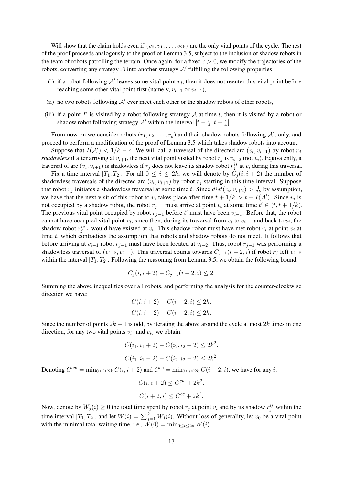Will show that the claim holds even if  $\{v_0, v_1, \ldots, v_{2k}\}$  are the only vital points of the cycle. The rest of the proof proceeds analogously to the proof of Lemma 3.5, subject to the inclusion of shadow robots in the team of robots patrolling the terrain. Once again, for a fixed  $\epsilon > 0$ , we modify the trajectories of the robots, converting any strategy  $A$  into another strategy  $A'$  fulfilling the following properties:

- (i) if a robot following  $A'$  leaves some vital point  $v_i$ , then it does not reenter this vital point before reaching some other vital point first (namely,  $v_{i-1}$  or  $v_{i+1}$ ),
- (ii) no two robots following  $A'$  ever meet each other or the shadow robots of other robots,
- (iii) if a point P is visited by a robot following strategy A at time t, then it is visited by a robot or shadow robot following strategy A' within the interval  $[t - \frac{\epsilon}{4}]$  $\frac{\epsilon}{4}$ ,  $t + \frac{\epsilon}{4}$  $\frac{\epsilon}{4}$ .

From now on we consider robots  $(r_1, r_2, \ldots, r_k)$  and their shadow robots following  $\mathcal{A}'$ , only, and proceed to perform a modification of the proof of Lemma 3.5 which takes shadow robots into account.

Suppose that  $I(A') < 1/k - \epsilon$ . We will call a traversal of the directed arc  $(v_i, v_{i+1})$  by robot  $r_j$ *shadowless* if after arriving at  $v_{i+1}$ , the next vital point visited by robot  $r_i$  is  $v_{i+2}$  (not  $v_i$ ). Equivalently, a traversal of arc  $(v_i, v_{i+1})$  is shadowless if  $r_j$  does not leave its shadow robot  $r_j^{i*}$  at  $v_i$  during this traversal.

Fix a time interval  $[T_1, T_2]$ . For all  $0 \le i \le 2k$ , we will denote by  $C_j(i, i + 2)$  the number of shadowless traversals of the directed arc  $(v_i, v_{i+1})$  by robot  $r_j$  starting in this time interval. Suppose that robot  $r_j$  initiates a shadowless traversal at some time t. Since  $dist(v_i, v_{i+2}) > \frac{1}{2l}$  $\frac{1}{2k}$  by assumption, we have that the next visit of this robot to  $v_i$  takes place after time  $t + 1/k > t + \overline{I(A')}$ . Since  $v_i$  is not occupied by a shadow robot, the robot  $r_{j-1}$  must arrive at point  $v_i$  at some time  $t' \in (t, t + 1/k)$ . The previous vital point occupied by robot  $r_{j-1}$  before t' must have been  $v_{i-1}$ . Before that, the robot cannot have occupied vital point  $v_i$ , since then, during its traversal from  $v_i$  to  $v_{i-1}$  and back to  $v_i$ , the shadow robot  $r_{j-1}^{i*}$  would have existed at  $v_i$ . This shadow robot must have met robot  $r_i$  at point  $v_i$  at time  $t$ , which contradicts the assumption that robots and shadow robots do not meet. It follows that before arriving at  $v_{i-1}$  robot  $r_{i-1}$  must have been located at  $v_{i-2}$ . Thus, robot  $r_{i-1}$  was performing a shadowless traversal of  $(v_{i-2}, v_{i-1})$ . This traversal counts towards  $C_{j-1}(i-2, i)$  if robot  $r_j$  left  $v_{i-2}$ within the interval  $[T_1, T_2]$ . Following the reasoning from Lemma 3.5, we obtain the following bound:

$$
C_j(i, i+2) - C_{j-1}(i-2, i) \le 2.
$$

Summing the above inequalities over all robots, and performing the analysis for the counter-clockwise direction we have:

$$
C(i, i + 2) - C(i - 2, i) \le 2k.
$$
  

$$
C(i, i - 2) - C(i + 2, i) \le 2k.
$$

Since the number of points  $2k + 1$  is odd, by iterating the above around the cycle at most  $2k$  times in one direction, for any two vital points  $v_{i_1}$  and  $v_{i_2}$  we obtain:

$$
C(i_1, i_1 + 2) - C(i_2, i_2 + 2) \le 2k^2.
$$
  

$$
C(i_1, i_1 - 2) - C(i_2, i_2 - 2) \le 2k^2.
$$

Denoting  $C^{cw} = \min_{0 \le i \le 2k} C(i, i + 2)$  and  $C^{cc} = \min_{0 \le i \le 2k} C(i + 2, i)$ , we have for any *i*:

$$
C(i, i+2) \le C^{cw} + 2k^2.
$$
  

$$
C(i+2, i) \le C^{cc} + 2k^2.
$$

Now, denote by  $W_j(i) \ge 0$  the total time spent by robot  $r_j$  at point  $v_i$  and by its shadow  $r_j^{i*}$  within the time interval  $[T_1, T_2]$ , and let  $W(i) = \sum_{j=1}^{k} W_j(i)$ . Without loss of generality, let  $v_0$  be a vital point with the minimal total waiting time, i.e.,  $\tilde{W}(0) = \min_{0 \le i \le 2k} W(i)$ .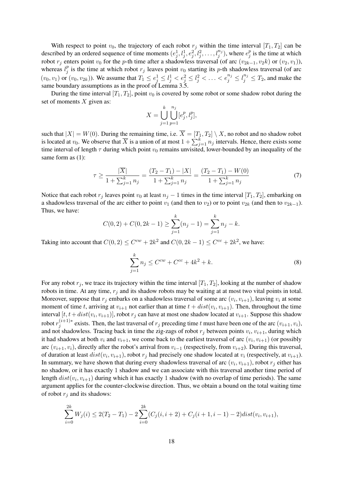With respect to point  $v_0$ , the trajectory of each robot  $r_j$  within the time interval  $[T_1, T_2]$  can be described by an ordered sequence of time moments  $(e_j^1, l_j^1, e_j^2, l_j^2, \ldots, l_j^{n_j})$ , where  $e_j^p$  $j<sup>p</sup>$  is the time at which robot  $r_j$  enters point  $v_0$  for the p-th time after a shadowless traversal (of arc  $(v_{2k-1}, v_2k)$  or  $(v_2, v_1)$ ), whereas  $l_i^p$  $_j^p$  is the time at which robot  $r_j$  leaves point  $v_0$  starting its p-th shadowless traversal (of arc  $(v_0, v_1)$  or  $(v_0, v_{2k})$ ). We assume that  $T_1 \le e_j^1 \le l_j^1 < e_j^2 \le l_j^2 < \ldots < e_j^{n_j} \le l_j^{n_j} \le T_2$ , and make the same boundary assumptions as in the proof of Lemma 3.5.

During the time interval  $[T_1, T_2]$ , point  $v_0$  is covered by some robot or some shadow robot during the set of moments  $X$  given as:

$$
X = \bigcup_{j=1}^k \bigcup_{p=1}^{n_j} [e_j^p, l_j^p],
$$

such that  $|X| = W(0)$ . During the remaining time, i.e.  $\overline{X} = [T_1, T_2] \setminus X$ , no robot and no shadow robot is located at  $v_0$ . We observe that  $\overline{X}$  is a union of at most  $1 + \sum_{j=1}^{k} n_j$  intervals. Hence, there exists some time interval of length  $\tau$  during which point  $v_0$  remains unvisited, lower-bounded by an inequality of the same form as  $(1)$ :

$$
\tau \ge \frac{|\overline{X}|}{1 + \sum_{j=1}^k n_j} = \frac{(T_2 - T_1) - |X|}{1 + \sum_{j=1}^k n_j} = \frac{(T_2 - T_1) - W(0)}{1 + \sum_{j=1}^k n_j} \tag{7}
$$

Notice that each robot  $r_j$  leaves point  $v_0$  at least  $n_j - 1$  times in the time interval  $[T_1, T_2]$ , embarking on a shadowless traversal of the arc either to point  $v_1$  (and then to  $v_2$ ) or to point  $v_{2k}$  (and then to  $v_{2k-1}$ ). Thus, we have:

$$
C(0,2) + C(0, 2k - 1) \ge \sum_{j=1}^{k} (n_j - 1) = \sum_{j=1}^{k} n_j - k.
$$

Taking into account that  $C(0, 2) \leq C^{cw} + 2k^2$  and  $C(0, 2k - 1) \leq C^{cc} + 2k^2$ , we have:

$$
\sum_{j=1}^{k} n_j \le C^{cw} + C^{cc} + 4k^2 + k. \tag{8}
$$

For any robot  $r_j$ , we trace its trajectory within the time interval  $[T_1, T_2]$ , looking at the number of shadow robots in time. At any time,  $r_j$  and its shadow robots may be waiting at at most two vital points in total. Moreover, suppose that  $r_j$  embarks on a shadowless traversal of some arc  $(v_i, v_{i+1})$ , leaving  $v_i$  at some moment of time t, arriving at  $v_{i+1}$  not earlier than at time  $t + dist(v_i, v_{i+1})$ . Then, throughout the time interval  $[t, t + dist(v_i, v_{i+1})]$ , robot  $r_j$  can have at most one shadow located at  $v_{i+1}$ . Suppose this shadow robot  $r_i^{(i+1)*}$  $j_j^{(i+1)*}$  exists. Then, the last traversal of  $r_j$  preceding time t must have been one of the arc  $(v_{i+1}, v_i)$ , and not shadowless. Tracing back in time the zig-zags of robot  $r_j$  between points  $v_i$ ,  $v_{i+1}$ , during which it had shadows at both  $v_i$  and  $v_{i+1}$ , we come back to the earliest traversal of arc  $(v_i, v_{i+1})$  (or possibly arc  $(v_{i+1}, v_i)$ , directly after the robot's arrival from  $v_{i-1}$  (respectively, from  $v_{i+2}$ ). During this traversal, of duration at least  $dist(v_i, v_{i+1})$ , robot  $r_j$  had precisely one shadow located at  $v_i$  (respectively, at  $v_{i+1}$ ). In summary, we have shown that during every shadowless traversal of arc  $(v_i, v_{i+1})$ , robot  $r_j$  either has no shadow, or it has exactly 1 shadow and we can associate with this traversal another time period of length  $dist(v_i, v_{i+1})$  during which it has exactly 1 shadow (with no overlap of time periods). The same argument applies for the counter-clockwise direction. Thus, we obtain a bound on the total waiting time of robot  $r_i$  and its shadows:

$$
\sum_{i=0}^{2k} W_j(i) \le 2(T_2 - T_1) - 2\sum_{i=0}^{2k} (C_j(i, i+2) + C_j(i+1, i-1) - 2) dist(v_i, v_{i+1}),
$$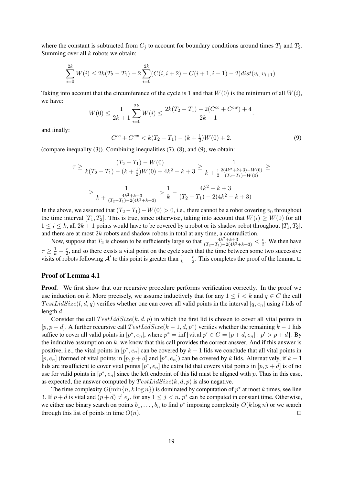where the constant is subtracted from  $C_j$  to account for boundary conditions around times  $T_1$  and  $T_2$ . Summing over all  $k$  robots we obtain:

$$
\sum_{i=0}^{2k} W(i) \le 2k(T_2 - T_1) - 2\sum_{i=0}^{2k} (C(i, i+2) + C(i+1, i-1) - 2) dist(v_i, v_{i+1}).
$$

Taking into account that the circumference of the cycle is 1 and that  $W(0)$  is the minimum of all  $W(i)$ , we have:

$$
W(0) \le \frac{1}{2k+1} \sum_{i=0}^{2k} W(i) \le \frac{2k(T_2 - T_1) - 2(C^{cc} + C^{cw}) + 4}{2k+1}.
$$

and finally:

$$
C^{cc} + C^{cw} < k(T_2 - T_1) - (k + \frac{1}{2})W(0) + 2. \tag{9}
$$

(compare inequality (3)). Combining inequalities (7), (8), and (9), we obtain:

$$
\tau \ge \frac{(T_2 - T_1) - W(0)}{k(T_2 - T_1) - (k + \frac{1}{2})W(0) + 4k^2 + k + 3} \ge \frac{1}{k + \frac{1}{2} \frac{2(4k^2 + k + 3) - W(0)}{(T_2 - T_1) - W(0)}} \ge \frac{1}{k + \frac{4k^2 + k + 3}{(T_2 - T_1) - 2(4k^2 + k + 3)}} > \frac{1}{k} - \frac{4k^2 + k + 3}{(T_2 - T_1) - 2(4k^2 + k + 3)}.
$$

In the above, we assumed that  $(T_2 - T_1) - W(0) > 0$ , i.e., there cannot be a robot covering  $v_0$  throughout the time interval  $[T_1, T_2]$ . This is true, since otherwise, taking into account that  $W(i) \geq W(0)$  for all  $1 \leq i \leq k$ , all  $2k+1$  points would have to be covered by a robot or its shadow robot throughout  $[T_1, T_2]$ , and there are at most  $2k$  robots and shadow robots in total at any time, a contradiction.

Now, suppose that  $T_2$  is chosen to be sufficiently large so that  $\frac{4k^2+k+3}{(T_2-T_1)-2(4k^2)}$  $\frac{4k^2+k+3}{(T_2-T_1)-2(4k^2+k+3)}<\frac{\epsilon}{2}$  $\frac{\epsilon}{2}$ . We then have  $\tau \geq \frac{1}{k} - \frac{\epsilon}{2}$  $\frac{\epsilon}{2}$ , and so there exists a vital point on the cycle such that the time between some two successive visits of robots following  $A'$  to this point is greater than  $\frac{1}{k} - \frac{\epsilon}{2}$  $\frac{\epsilon}{2}$ . This completes the proof of the lemma.  $\Box$ 

#### Proof of Lemma 4.1

**Proof.** We first show that our recursive procedure performs verification correctly. In the proof we use induction on k. More precisely, we assume inductively that for any  $1 \leq l < k$  and  $q \in C$  the call  $TestLidSize(l, d, q)$  verifies whether one can cover all valid points in the interval  $[q, e_n]$  using l lids of length d.

Consider the call  $TestLi dSize(k, d, p)$  in which the first lid is chosen to cover all vital points in [p, p + d]. A further recursive call  $TestLidSize(k-1, d, p^*)$  verifies whether the remaining  $k-1$  lids suffice to cover all valid points in  $[p^*, e_n]$ , where  $p^* = \inf \{ \text{vital } p' \in C = [p + d, e_n] : p' > p + d \}.$  By the inductive assumption on  $k$ , we know that this call provides the correct answer. And if this answer is positive, i.e., the vital points in  $[p^*, e_n]$  can be covered by  $k-1$  lids we conclude that all vital points in [p, e<sub>n</sub>] (formed of vital points in [p, p + d] and [p<sup>\*</sup>, e<sub>n</sub>]) can be covered by k lids. Alternatively, if  $k-1$ lids are insufficient to cover vital points  $[p^*, e_n]$  the extra lid that covers vital points in  $[p, p + d]$  is of no use for valid points in  $[p^*, e_n]$  since the left endpoint of this lid must be aligned with p. Thus in this case, as expected, the answer computed by  $TestLidSize(k, d, p)$  is also negative.

The time complexity  $O(\min\{n, k \log n\})$  is dominated by computation of  $p^*$  at most k times, see line 3. If  $p + d$  is vital and  $(p + d) \neq e_j$ , for any  $1 \leq j < n$ ,  $p^*$  can be computed in constant time. Otherwise, we either use binary search on points  $b_1, \ldots, b_n$  to find  $p^*$  imposing complexity  $O(k \log n)$  or we search through this list of points in time  $O(n)$ .